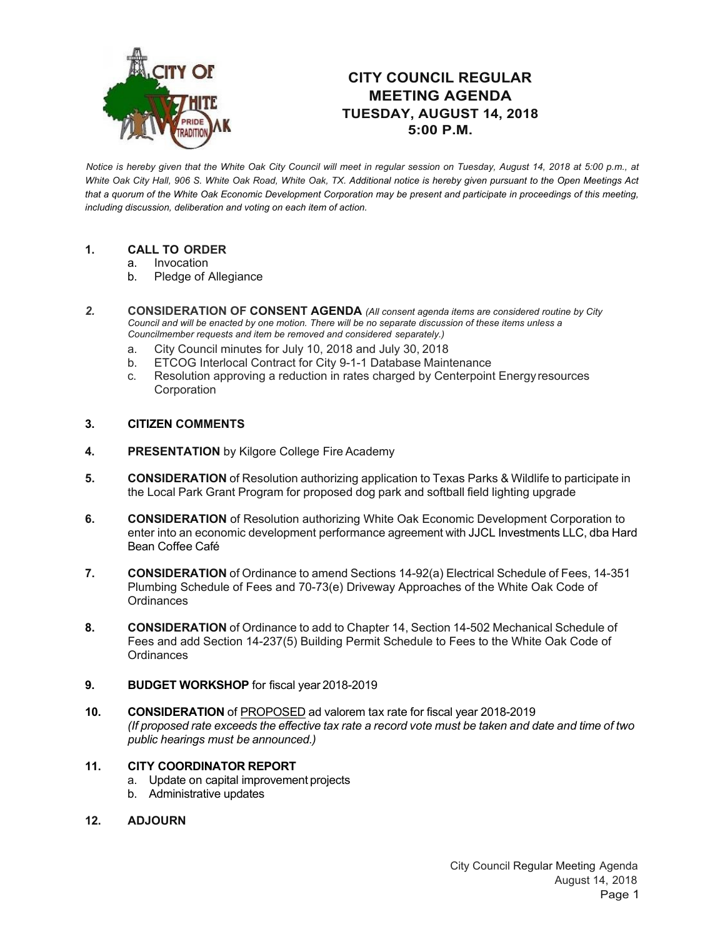

## **CITY COUNCIL REGULAR MEETING AGENDA TUESDAY, AUGUST 14, 2018 5:00 P.M.**

*Notice is hereby given that the White Oak City Council will meet in regular session on Tuesday, August 14, 2018 at 5:00 p.m., at White Oak City Hall, 906 S. White Oak Road, White Oak, TX. Additional notice is hereby given pursuant to the Open Meetings Act that a quorum of the White Oak Economic Development Corporation may be present and participate in proceedings of this meeting, including discussion, deliberation and voting on each item of action.*

## **1. CALL TO ORDER**

- a. Invocation
- b. Pledge of Allegiance
- *2.* **CONSIDERATION OF CONSENT AGENDA** *(All consent agenda items are considered routine by City Council and will be enacted by one motion. There will be no separate discussion of these items unless a Councilmember requests and item be removed and considered separately.)*
	- a. City Council minutes for July 10, 2018 and July 30, 2018
	- b. ETCOG Interlocal Contract for City 9-1-1 Database Maintenance
	- c. Resolution approving a reduction in rates charged by Centerpoint Energyresources Corporation

## **3. CITIZEN COMMENTS**

- **4. PRESENTATION** by Kilgore College Fire Academy
- **5. CONSIDERATION** of Resolution authorizing application to Texas Parks & Wildlife to participate in the Local Park Grant Program for proposed dog park and softball field lighting upgrade
- **6. CONSIDERATION** of Resolution authorizing White Oak Economic Development Corporation to enter into an economic development performance agreement with JJCL Investments LLC, dba Hard Bean Coffee Café
- **7. CONSIDERATION** of Ordinance to amend Sections 14-92(a) Electrical Schedule of Fees, 14-351 Plumbing Schedule of Fees and 70-73(e) Driveway Approaches of the White Oak Code of **Ordinances**
- **8. CONSIDERATION** of Ordinance to add to Chapter 14, Section 14-502 Mechanical Schedule of Fees and add Section 14-237(5) Building Permit Schedule to Fees to the White Oak Code of **Ordinances**
- **9. BUDGET WORKSHOP** for fiscal year 2018-2019
- **10. CONSIDERATION** of PROPOSED ad valorem tax rate for fiscal year 2018-2019 (If proposed rate exceeds the effective tax rate a record vote must be taken and date and time of two *public hearings must be announced.)*

## **11. CITY COORDINATOR REPORT**

- a. Update on capital improvement projects
- b. Administrative updates
- **12. ADJOURN**